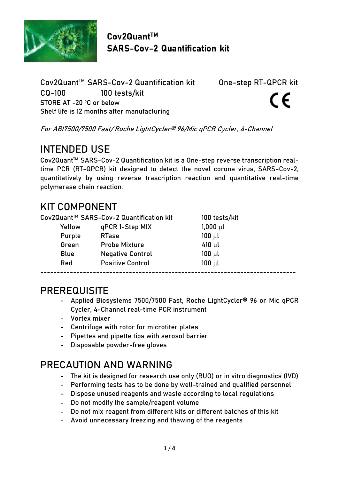

 $Cov2Quant<sup>TM</sup>$ **SARS-Cov-2 Quantification kit** 

Cov2Quant™ SARS-Cov-2 Quantification kit One-step RT-QPCR kit CQ-100 100 tests/kit STORE AT -20 °C or below Shelf life is 12 months after manufacturing

CE

For ABI7500/7500 Fast/ Roche LightCycler® 96/Mic qPCR Cycler, 4-Channel

# INTENDED USE

Cov2QuantTM SARS-Cov-2 Quantification kit is a One-step reverse transcription realtime PCR (RT-QPCR) kit designed to detect the novel corona virus, SARS-Cov-2, quantitatively by using reverse trascription reaction and quantitative real-time polymerase chain reaction.

# KIT COMPONENT

|             | Cov2Quant™ SARS-Cov-2 Quantification kit | 100 tests/kit |  |
|-------------|------------------------------------------|---------------|--|
| Yellow      | qPCR 1-Step MIX                          | $1,000 \mu l$ |  |
| Purple      | <b>RTase</b>                             | $100 \mu l$   |  |
| Green       | <b>Probe Mixture</b>                     | $410 \mu l$   |  |
| <b>Blue</b> | <b>Negative Control</b>                  | $100 \mu l$   |  |
| Red         | <b>Positive Control</b>                  | $100 \mu l$   |  |
|             |                                          |               |  |

### PREREQUISITE

- Applied Biosystems 7500/7500 Fast, Roche LightCycler® 96 or Mic qPCR Cycler, 4-Channel real-time PCR instrument
- Vortex mixer
- Centrifuge with rotor for microtiter plates
- Pipettes and pipette tips with aerosol barrier
- Disposable powder-free gloves

# PRECAUTION AND WARNING

- The kit is designed for research use only (RUO) or in vitro diagnostics (IVD)
- Performing tests has to be done by well-trained and qualified personnel
- Dispose unused reagents and waste according to local regulations
- Do not modify the sample/reagent volume
- Do not mix reagent from different kits or different batches of this kit
- Avoid unnecessary freezing and thawing of the reagents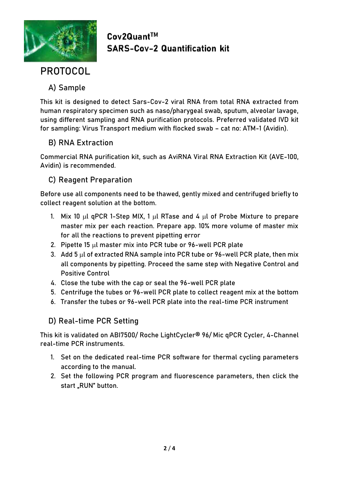

### $Cov2Quant<sup>TM</sup>$ **SARS-Cov-2 Quantification kit**

# PROTOCOL

### A) Sample

This kit is designed to detect Sars-Cov-2 viral RNA from total RNA extracted from human respiratory specimen such as naso/pharygeal swab, sputum, alveolar lavage, using different sampling and RNA purification protocols. Preferred validated IVD kit for sampling: Virus Transport medium with flocked swab – cat no: ATM-1 (Avidin).

### B) RNA Extraction

Commercial RNA purification kit, such as AviRNA Viral RNA Extraction Kit (AVE-100, Avidin) is recommended.

### C) Reagent Preparation

Before use all components need to be thawed, gently mixed and centrifuged briefly to collect reagent solution at the bottom.

- 1. Mix 10  $\mu$ l qPCR 1-Step MIX, 1  $\mu$ l RTase and 4  $\mu$ l of Probe Mixture to prepare master mix per each reaction. Prepare app. 10% more volume of master mix for all the reactions to prevent pipetting error
- 2. Pipette 15  $\mu$ l master mix into PCR tube or 96-well PCR plate
- 3. Add 5  $\mu$ l of extracted RNA sample into PCR tube or 96-well PCR plate, then mix all components by pipetting. Proceed the same step with Negative Control and Positive Control
- 4. Close the tube with the cap or seal the 96-well PCR plate
- 5. Centrifuge the tubes or 96-well PCR plate to collect reagent mix at the bottom
- 6. Transfer the tubes or 96-well PCR plate into the real-time PCR instrument

### D) Real-time PCR Setting

This kit is validated on ABI7500/ Roche LightCycler® 96/ Mic qPCR Cycler, 4-Channel real-time PCR instruments.

- 1. Set on the dedicated real-time PCR software for thermal cycling parameters according to the manual.
- 2. Set the following PCR program and fluorescence parameters, then click the start "RUN" button.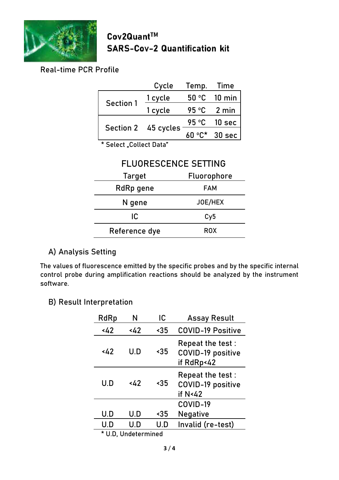

Cov2Quant™ **SARS-Cov-2 Quantification kit** 

### Real-time PCR Profile

|                  | Cycle               | Temp.           | Time             |
|------------------|---------------------|-----------------|------------------|
| <b>Section 1</b> | 1 cycle             |                 | 50 °C 10 min     |
|                  | 1 cycle             | 95 °C           | 2 min            |
|                  | Section 2 45 cycles |                 | 95 °C 10 sec     |
|                  |                     | $60^{\circ}$ C* | $30$ sec $\vert$ |
|                  |                     |                 |                  |

\* Select "Collect Data"

### FLUORESCENCE SETTING

| Target        | Fluorophore |
|---------------|-------------|
| RdRp gene     | FAM         |
| N gene        | JOE/HEX     |
| IC            | Cy5         |
| Reference dye | <b>ROX</b>  |

### A) Analysis Setting

The values of fluorescence emitted by the specific probes and by the specific internal control probe during amplification reactions should be analyzed by the instrument software.

#### B) Result Interpretation

| RdRp                | N   | IC        | <b>Assay Result</b>                                   |
|---------------------|-----|-----------|-------------------------------------------------------|
| 442                 | 442 | $\sim 35$ | <b>COVID-19 Positive</b>                              |
| 442                 | U.D | $\sim 35$ | Repeat the test:<br>COVID-19 positive<br>if RdRp<42   |
| U.D                 | 442 | $\sim$ 35 | Repeat the test :<br>COVID-19 positive<br>if $N < 42$ |
|                     |     |           | COVID-19                                              |
| U.D                 | U.D | $\sim$ 35 | Negative                                              |
| U.D                 | U.D | U.D       | Invalid (re-test)                                     |
| * U.D. Undetermined |     |           |                                                       |